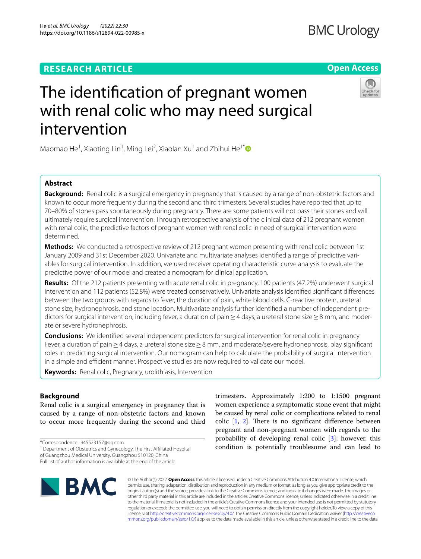## **RESEARCH ARTICLE**

# The identifcation of pregnant women with renal colic who may need surgical intervention

Maomao He<sup>1</sup>, Xiaoting Lin<sup>1</sup>, Ming Lei<sup>2</sup>, Xiaolan Xu<sup>1</sup> and Zhihui He<sup>1[\\*](http://orcid.org/0000-0003-1215-136X)</sup>

## **Abstract**

**Background:** Renal colic is a surgical emergency in pregnancy that is caused by a range of non-obstetric factors and known to occur more frequently during the second and third trimesters. Several studies have reported that up to 70–80% of stones pass spontaneously during pregnancy. There are some patients will not pass their stones and will ultimately require surgical intervention. Through retrospective analysis of the clinical data of 212 pregnant women with renal colic, the predictive factors of pregnant women with renal colic in need of surgical intervention were determined.

**Methods:** We conducted a retrospective review of 212 pregnant women presenting with renal colic between 1st January 2009 and 31st December 2020. Univariate and multivariate analyses identifed a range of predictive variables for surgical intervention. In addition, we used receiver operating characteristic curve analysis to evaluate the predictive power of our model and created a nomogram for clinical application.

**Results:** Of the 212 patients presenting with acute renal colic in pregnancy, 100 patients (47.2%) underwent surgical intervention and 112 patients (52.8%) were treated conservatively. Univariate analysis identifed signifcant diferences between the two groups with regards to fever, the duration of pain, white blood cells, C-reactive protein, ureteral stone size, hydronephrosis, and stone location. Multivariate analysis further identifed a number of independent predictors for surgical intervention, including fever, a duration of pain ≥4 days, a ureteral stone size ≥8 mm, and moderate or severe hydronephrosis.

**Conclusions:** We identifed several independent predictors for surgical intervention for renal colic in pregnancy. Fever, a duration of pain≥4 days, a ureteral stone size≥8 mm, and moderate/severe hydronephrosis, play signifcant roles in predicting surgical intervention. Our nomogram can help to calculate the probability of surgical intervention in a simple and efficient manner. Prospective studies are now required to validate our model.

**Keywords:** Renal colic, Pregnancy, urolithiasis, Intervention

**Background**

Renal colic is a surgical emergency in pregnancy that is caused by a range of non-obstetric factors and known to occur more frequently during the second and third

\*Correspondence: 945523157@qq.com

<sup>1</sup> Department of Obstetrics and Gynecology, The First Affiliated Hospital of Guangzhou Medical University, Guangzhou 510120, China

Full list of author information is available at the end of the article

# $\blacksquare$  BMC

© The Author(s) 2022. **Open Access** This article is licensed under a Creative Commons Attribution 4.0 International License, which permits use, sharing, adaptation, distribution and reproduction in any medium or format, as long as you give appropriate credit to the original author(s) and the source, provide a link to the Creative Commons licence, and indicate if changes were made. The images or other third party material in this article are included in the article's Creative Commons licence, unless indicated otherwise in a credit line to the material. If material is not included in the article's Creative Commons licence and your intended use is not permitted by statutory regulation or exceeds the permitted use, you will need to obtain permission directly from the copyright holder. To view a copy of this licence, visit [http://creativecommons.org/licenses/by/4.0/.](http://creativecommons.org/licenses/by/4.0/) The Creative Commons Public Domain Dedication waiver ([http://creativeco](http://creativecommons.org/publicdomain/zero/1.0/) [mmons.org/publicdomain/zero/1.0/](http://creativecommons.org/publicdomain/zero/1.0/)) applies to the data made available in this article, unless otherwise stated in a credit line to the data.

trimesters. Approximately 1:200 to 1:1500 pregnant women experience a symptomatic stone event that might be caused by renal colic or complications related to renal colic  $[1, 2]$  $[1, 2]$  $[1, 2]$  $[1, 2]$  $[1, 2]$ . There is no significant difference between pregnant and non-pregnant women with regards to the probability of developing renal colic [[3\]](#page-5-2); however, this condition is potentially troublesome and can lead to





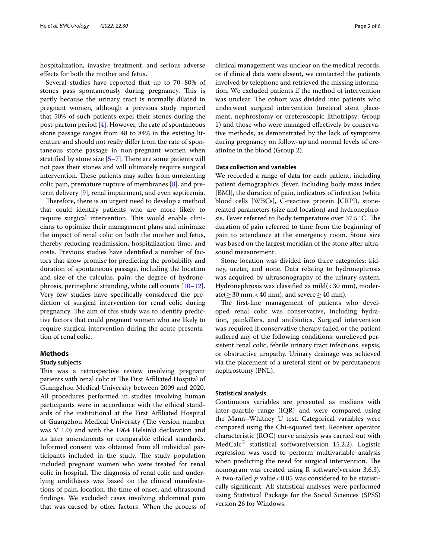hospitalization, invasive treatment, and serious adverse efects for both the mother and fetus.

Several studies have reported that up to 70–80% of stones pass spontaneously during pregnancy. This is partly because the urinary tract is normally dilated in pregnant women, although a previous study reported that 50% of such patients expel their stones during the post-partum period  $[4]$  $[4]$ . However, the rate of spontaneous stone passage ranges from 48 to 84% in the existing literature and should not really difer from the rate of spontaneous stone passage in non-pregnant women when stratified by stone size  $[5-7]$  $[5-7]$  $[5-7]$ . There are some patients will not pass their stones and will ultimately require surgical intervention. These patients may suffer from unrelenting colic pain, premature rupture of membranes [\[8](#page-5-6)]. and preterm delivery [[9\]](#page-5-7), renal impairment, and even septicemia.

Therefore, there is an urgent need to develop a method that could identify patients who are more likely to require surgical intervention. This would enable clinicians to optimize their management plans and minimize the impact of renal colic on both the mother and fetus, thereby reducing readmission, hospitalization time, and costs. Previous studies have identifed a number of factors that show promise for predicting the probability and duration of spontaneous passage, including the location and size of the calculus, pain, the degree of hydronephrosis, perinephric stranding, white cell counts [[10](#page-5-8)[–12](#page-5-9)]. Very few studies have specifcally considered the prediction of surgical intervention for renal colic during pregnancy. The aim of this study was to identify predictive factors that could pregnant women who are likely to require surgical intervention during the acute presentation of renal colic.

#### **Methods**

#### **Study subjects**

This was a retrospective review involving pregnant patients with renal colic at The First Affiliated Hospital of Guangzhou Medical University between 2009 and 2020. All procedures performed in studies involving human participants were in accordance with the ethical standards of the institutional at the First Afliated Hospital of Guangzhou Medical University (The version number was V 1.0) and with the 1964 Helsinki declaration and its later amendments or comparable ethical standards. Informed consent was obtained from all individual participants included in the study. The study population included pregnant women who were treated for renal colic in hospital. The diagnosis of renal colic and underlying urolithiasis was based on the clinical manifestations of pain, location, the time of onset, and ultrasound fndings. We excluded cases involving abdominal pain that was caused by other factors. When the process of clinical management was unclear on the medical records, or if clinical data were absent, we contacted the patients involved by telephone and retrieved the missing information. We excluded patients if the method of intervention was unclear. The cohort was divided into patients who underwent surgical intervention (ureteral stent placement, nephrostomy or ureteroscopic lithotripsy; Group 1) and those who were managed efectively by conservative methods, as demonstrated by the lack of symptoms during pregnancy on follow-up and normal levels of creatinine in the blood (Group 2).

#### **Data collection and variables**

We recorded a range of data for each patient, including patient demographics (fever, including body mass index [BMI], the duration of pain, indicators of infection (white blood cells [WBCs], C-reactive protein [CRP]), stonerelated parameters (size and location) and hydronephrosis. Fever referred to Body temperature over 37.5 °C. The duration of pain referred to time from the beginning of pain to attendance at the emergency room. Stone size was based on the largest meridian of the stone after ultrasound measurement.

Stone location was divided into three categories: kidney, ureter, and none. Data relating to hydronephrosis was acquired by ultrasonography of the urinary system. Hydronephrosis was classified as  $mid( $30 \text{ mm}$ ), moder$ ate( $\geq$  30 mm, < 40 mm), and severe  $\geq$  40 mm).

The first-line management of patients who developed renal colic was conservative, including hydration, painkillers, and antibiotics. Surgical intervention was required if conservative therapy failed or the patient sufered any of the following conditions: unrelieved persistent renal colic, febrile urinary tract infections, sepsis, or obstructive uropathy. Urinary drainage was achieved via the placement of a ureteral stent or by percutaneous nephrostomy (PNL).

#### **Statistical analysis**

Continuous variables are presented as medians with inter-quartile range (IQR) and were compared using the Mann–Whitney U test. Categorical variables were compared using the Chi-squared test. Receiver operator characteristic (ROC) curve analysis was carried out with MedCalc® statistical software(version 15.2.2). Logistic regression was used to perform multivariable analysis when predicting the need for surgical intervention. The nomogram was created using R software(version 3.6.3). A two-tailed *p* value < 0.05 was considered to be statistically signifcant. All statistical analyses were performed using Statistical Package for the Social Sciences (SPSS) version 26 for Windows.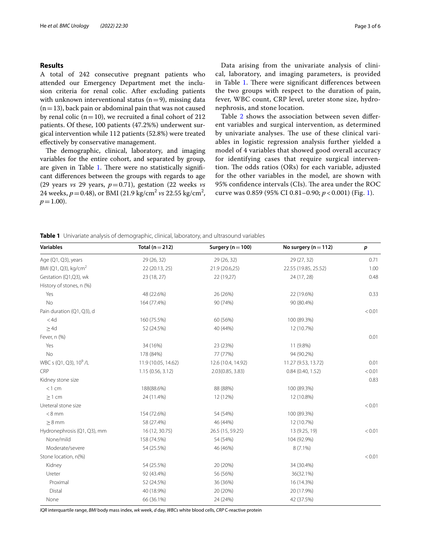#### **Results**

A total of 242 consecutive pregnant patients who attended our Emergency Department met the inclusion criteria for renal colic. After excluding patients with unknown interventional status  $(n=9)$ , missing data  $(n=13)$ , back pain or abdominal pain that was not caused by renal colic ( $n=10$ ), we recruited a final cohort of 212 patients. Of these, 100 patients (47.2%%) underwent surgical intervention while 112 patients (52.8%) were treated efectively by conservative management.

The demographic, clinical, laboratory, and imaging variables for the entire cohort, and separated by group, are given in Table [1.](#page-2-0) There were no statistically significant diferences between the groups with regards to age (29 years *vs* 29 years, *p*=0.71), gestation (22 weeks *vs* 24 weeks,  $p = 0.48$ ), or BMI (21.9 kg/cm<sup>2</sup> *vs* 22.55 kg/cm<sup>2</sup>,  $p=1.00$ ).

Data arising from the univariate analysis of clinical, laboratory, and imaging parameters, is provided in Table [1.](#page-2-0) There were significant differences between the two groups with respect to the duration of pain, fever, WBC count, CRP level, ureter stone size, hydronephrosis, and stone location.

Table [2](#page-3-0) shows the association between seven different variables and surgical intervention, as determined by univariate analyses. The use of these clinical variables in logistic regression analysis further yielded a model of 4 variables that showed good overall accuracy for identifying cases that require surgical intervention. The odds ratios  $(ORs)$  for each variable, adjusted for the other variables in the model, are shown with 95% confidence intervals (CIs). The area under the ROC curve was 0.859 (95% CI 0.81–0.90; *p* < 0.001) (Fig. [1\)](#page-3-1).

<span id="page-2-0"></span>**Table 1** Univariate analysis of demographic, clinical, laboratory, and ultrasound variables

| <b>Variables</b>                   | Total ( $n = 212$ ) | Surgery ( $n = 100$ ) | No surgery ( $n = 112$ ) | p      |
|------------------------------------|---------------------|-----------------------|--------------------------|--------|
| Age (Q1, Q3), years                | 29 (26, 32)         | 29 (26, 32)           | 29 (27, 32)              | 0.71   |
| BMI (Q1, Q3), kg/cm <sup>2</sup>   | 22 (20.13, 25)      | 21.9 (20.6,25)        | 22.55 (19.85, 25.52)     | 1.00   |
| Gestation (Q1,Q3), wk              | 23 (18, 27)         | 22 (19,27)            | 24 (17, 28)              | 0.48   |
| History of stones, n (%)           |                     |                       |                          |        |
| Yes                                | 48 (22.6%)          | 26 (26%)              | 22 (19.6%)               | 0.33   |
| No                                 | 164 (77.4%)         | 90 (74%)              | 90 (80.4%)               |        |
| Pain duration (Q1, Q3), d          |                     |                       |                          | < 0.01 |
| $<$ 4d                             | 160 (75.5%)         | 60 (56%)              | 100 (89.3%)              |        |
| $\geq$ 4d                          | 52 (24.5%)          | 40 (44%)              | 12 (10.7%)               |        |
| Fever, n (%)                       |                     |                       |                          | 0.01   |
| Yes                                | 34 (16%)            | 23 (23%)              | 11 (9.8%)                |        |
| <b>No</b>                          | 178 (84%)           | 77 (77%)              | 94 (90.2%)               |        |
| WBC s (Q1, Q3), 10 <sup>9</sup> /L | 11.9 (10.05, 14.62) | 12.6 (10.4, 14.92)    | 11.27 (9.53, 13.72)      | 0.01   |
| CRP                                | 1.15(0.56, 3.12)    | 2.03(0.85, 3.83)      | 0.84(0.40, 1.52)         | < 0.01 |
| Kidney stone size                  |                     |                       |                          | 0.83   |
| $<$ 1 cm                           | 188(88.6%)          | 88 (88%)              | 100 (89.3%)              |        |
| $>1$ cm                            | 24 (11.4%)          | 12 (12%)              | 12 (10.8%)               |        |
| Ureteral stone size                |                     |                       |                          | < 0.01 |
| $< 8$ mm                           | 154 (72.6%)         | 54 (54%)              | 100 (89.3%)              |        |
| $> 8$ mm                           | 58 (27.4%)          | 46 (44%)              | 12 (10.7%)               |        |
| Hydronephrosis (Q1, Q3), mm        | 16 (12, 30.75)      | 26.5 (15, 59.25)      | 13 (9.25, 19)            | < 0.01 |
| None/mild                          | 158 (74.5%)         | 54 (54%)              | 104 (92.9%)              |        |
| Moderate/severe                    | 54 (25.5%)          | 46 (46%)              | $8(7.1\%)$               |        |
| Stone location, n(%)               |                     |                       |                          | < 0.01 |
| Kidney                             | 54 (25.5%)          | 20 (20%)              | 34 (30.4%)               |        |
| Ureter                             | 92 (43.4%)          | 56 (56%)              | 36(32.1%)                |        |
| Proximal                           | 52 (24.5%)          | 36 (36%)              | 16 (14.3%)               |        |
| Distal                             | 40 (18.9%)          | 20 (20%)              | 20 (17.9%)               |        |
| None                               | 66 (36.1%)          | 24 (24%)              | 42 (37.5%)               |        |

*IQR* interquartile range, *BMI* body mass index, *wk* week, *d* day, *WBCs* white blood cells, *CRP* C-reactive protein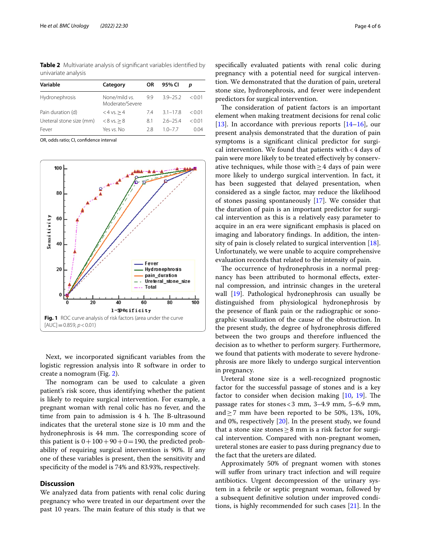<span id="page-3-0"></span>**Table 2** Multivariate analysis of signifcant variables identifed by univariate analysis

| Variable                 | Category                         | <b>OR</b> | 95% CI       | D        |
|--------------------------|----------------------------------|-----------|--------------|----------|
| Hydronephrosis           | None/mild vs.<br>Moderate/Severe | 99        | $3.9 - 25.2$ | $<$ 0.01 |
| Pain duration (d)        | $<4$ vs. $>4$                    | 74        | $3.1 - 17.8$ | < 0.01   |
| Ureteral stone size (mm) | $< 8$ vs. $> 8$                  | 8.1       | $26 - 254$   | < 0.01   |
| Fever                    | Yes vs. No                       | 28        | $10 - 77$    | 0.04     |

OR, odds ratio; CI, confdence interval



<span id="page-3-1"></span>Next, we incorporated signifcant variables from the logistic regression analysis into R software in order to create a nomogram (Fig. [2](#page-4-0)).

The nomogram can be used to calculate a given patient's risk score, thus identifying whether the patient is likely to require surgical intervention. For example, a pregnant woman with renal colic has no fever, and the time from pain to admission is  $4$  h. The B-ultrasound indicates that the ureteral stone size is 10 mm and the hydronephrosis is 44 mm. The corresponding score of this patient is  $0+100+90+0=190$ , the predicted probability of requiring surgical intervention is 90%. If any one of these variables is present, then the sensitivity and specifcity of the model is 74% and 83.93%, respectively.

#### **Discussion**

We analyzed data from patients with renal colic during pregnancy who were treated in our department over the past 10 years. The main feature of this study is that we

specifcally evaluated patients with renal colic during pregnancy with a potential need for surgical intervention. We demonstrated that the duration of pain, ureteral stone size, hydronephrosis, and fever were independent predictors for surgical intervention.

The consideration of patient factors is an important element when making treatment decisions for renal colic [[13\]](#page-5-10). In accordance with previous reports  $[14–16]$  $[14–16]$  $[14–16]$ , our present analysis demonstrated that the duration of pain symptoms is a signifcant clinical predictor for surgical intervention. We found that patients with  $<$  4 days of pain were more likely to be treated efectively by conservative techniques, while those with  $\geq$  4 days of pain were more likely to undergo surgical intervention. In fact, it has been suggested that delayed presentation, when considered as a single factor, may reduce the likelihood of stones passing spontaneously [[17\]](#page-5-13). We consider that the duration of pain is an important predictor for surgical intervention as this is a relatively easy parameter to acquire in an era were signifcant emphasis is placed on imaging and laboratory fndings. In addition, the intensity of pain is closely related to surgical intervention [\[18](#page-5-14)]. Unfortunately, we were unable to acquire comprehensive evaluation records that related to the intensity of pain.

The occurrence of hydronephrosis in a normal pregnancy has been attributed to hormonal efects, external compression, and intrinsic changes in the ureteral wall [[19\]](#page-5-15). Pathological hydronephrosis can usually be distinguished from physiological hydronephrosis by the presence of fank pain or the radiographic or sonographic visualization of the cause of the obstruction. In the present study, the degree of hydronephrosis difered between the two groups and therefore infuenced the decision as to whether to perform surgery. Furthermore, we found that patients with moderate to severe hydronephrosis are more likely to undergo surgical intervention in pregnancy.

Ureteral stone size is a well-recognized prognostic factor for the successful passage of stones and is a key factor to consider when decision making  $[10, 19]$  $[10, 19]$  $[10, 19]$ . The passage rates for stones<3 mm, 3–4.9 mm, 5–6.9 mm, and  $\geq$  7 mm have been reported to be 50%, 13%, 10%, and 0%, respectively [\[20](#page-5-16)]. In the present study, we found that a stone size stones  $\geq 8$  mm is a risk factor for surgical intervention. Compared with non-pregnant women, ureteral stones are easier to pass during pregnancy due to the fact that the ureters are dilated.

Approximately 50% of pregnant women with stones will suffer from urinary tract infection and will require antibiotics. Urgent decompression of the urinary system in a febrile or septic pregnant woman, followed by a subsequent defnitive solution under improved conditions, is highly recommended for such cases [\[21](#page-5-17)]. In the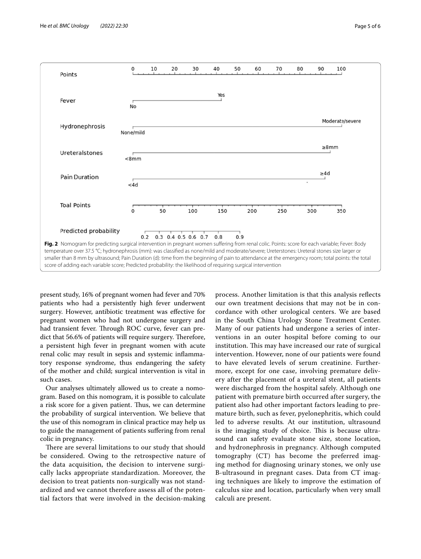Predicted probability



<span id="page-4-0"></span> $0.2$ 0.3 0.4 0.5 0.6 0.7  $0.8$  $0.9$ **Fig. 2** Nomogram for predicting surgical intervention in pregnant women sufering from renal colic. Points: score for each variable; Fever: Body temperature over 37.5 °C; hydronephrosis (mm): was classifed as none/mild and moderate/severe; Ureterstones: Ureteral stones size larger or smaller than 8 mm by ultrasound; Pain Duration (d): time from the beginning of pain to attendance at the emergency room; total points: the total score of adding each variable score; Predicted probability: the likelihood of requiring surgical intervention

present study, 16% of pregnant women had fever and 70% patients who had a persistently high fever underwent surgery. However, antibiotic treatment was efective for pregnant women who had not undergone surgery and had transient fever. Through ROC curve, fever can predict that 56.6% of patients will require surgery. Therefore, a persistent high fever in pregnant women with acute renal colic may result in sepsis and systemic infammatory response syndrome, thus endangering the safety of the mother and child; surgical intervention is vital in such cases.

Our analyses ultimately allowed us to create a nomogram. Based on this nomogram, it is possible to calculate a risk score for a given patient. Thus, we can determine the probability of surgical intervention. We believe that the use of this nomogram in clinical practice may help us to guide the management of patients sufering from renal colic in pregnancy.

There are several limitations to our study that should be considered. Owing to the retrospective nature of the data acquisition, the decision to intervene surgically lacks appropriate standardization. Moreover, the decision to treat patients non-surgically was not standardized and we cannot therefore assess all of the potential factors that were involved in the decision-making process. Another limitation is that this analysis refects our own treatment decisions that may not be in concordance with other urological centers. We are based in the South China Urology Stone Treatment Center. Many of our patients had undergone a series of interventions in an outer hospital before coming to our institution. This may have increased our rate of surgical intervention. However, none of our patients were found to have elevated levels of serum creatinine. Furthermore, except for one case, involving premature delivery after the placement of a ureteral stent, all patients were discharged from the hospital safely. Although one patient with premature birth occurred after surgery, the patient also had other important factors leading to premature birth, such as fever, pyelonephritis, which could led to adverse results*.* At our institution, ultrasound is the imaging study of choice. This is because ultrasound can safety evaluate stone size, stone location, and hydronephrosis in pregnancy. Although computed tomography (CT) has become the preferred imaging method for diagnosing urinary stones, we only use B-ultrasound in pregnant cases. Data from CT imaging techniques are likely to improve the estimation of calculus size and location, particularly when very small calculi are present.